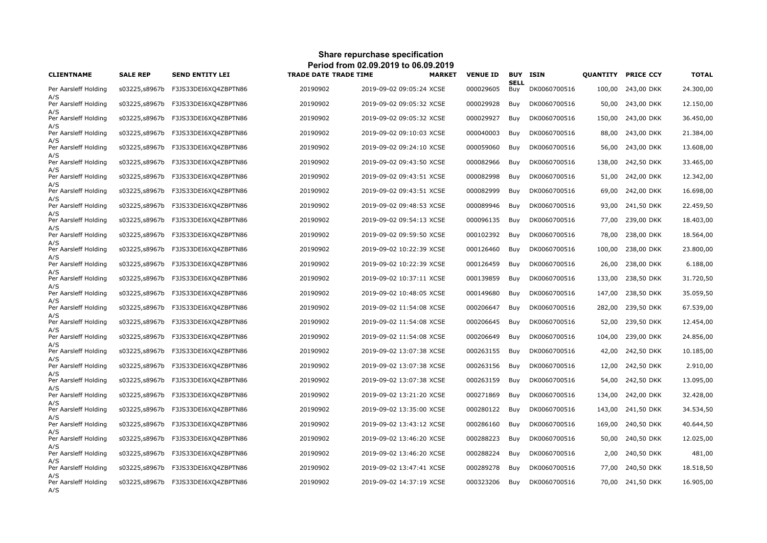| Period from 02.09.2019 to 06.09.2019 |                 |                                    |                              |                          |                 |             |                 |        |                           |              |  |
|--------------------------------------|-----------------|------------------------------------|------------------------------|--------------------------|-----------------|-------------|-----------------|--------|---------------------------|--------------|--|
| <b>CLIENTNAME</b>                    | <b>SALE REP</b> | <b>SEND ENTITY LEI</b>             | <b>TRADE DATE TRADE TIME</b> | <b>MARKET</b>            | <b>VENUE ID</b> | <b>SELL</b> | <b>BUY ISIN</b> |        | <b>QUANTITY PRICE CCY</b> | <b>TOTAL</b> |  |
| Per Aarsleff Holding                 | s03225,s8967b   | F3JS33DEI6XQ4ZBPTN86               | 20190902                     | 2019-09-02 09:05:24 XCSE | 000029605       | Buy         | DK0060700516    | 100,00 | 243,00 DKK                | 24.300,00    |  |
| A/S<br>Per Aarsleff Holding          | s03225,s8967b   | F3JS33DEI6XQ4ZBPTN86               | 20190902                     | 2019-09-02 09:05:32 XCSE | 000029928       | Buy         | DK0060700516    | 50,00  | 243,00 DKK                | 12.150,00    |  |
| A/S<br>Per Aarsleff Holding          | s03225,s8967b   | F3JS33DEI6XQ4ZBPTN86               | 20190902                     | 2019-09-02 09:05:32 XCSE | 000029927       | Buy         | DK0060700516    | 150,00 | 243,00 DKK                | 36.450,00    |  |
| A/S<br>Per Aarsleff Holding          | s03225,s8967b   | F3JS33DEI6XQ4ZBPTN86               | 20190902                     | 2019-09-02 09:10:03 XCSE | 000040003       | Buy         | DK0060700516    | 88,00  | 243,00 DKK                | 21.384,00    |  |
| A/S<br>Per Aarsleff Holding          | s03225,s8967b   | F3JS33DEI6XQ4ZBPTN86               | 20190902                     | 2019-09-02 09:24:10 XCSE | 000059060       | Buy         | DK0060700516    | 56,00  | 243,00 DKK                | 13.608,00    |  |
| A/S<br>Per Aarsleff Holding          | s03225,s8967b   | F3JS33DEI6XQ4ZBPTN86               | 20190902                     | 2019-09-02 09:43:50 XCSE | 000082966       | Buy         | DK0060700516    | 138,00 | 242,50 DKK                | 33.465,00    |  |
| A/S<br>Per Aarsleff Holding          | s03225,s8967b   | F3JS33DEI6XQ4ZBPTN86               | 20190902                     | 2019-09-02 09:43:51 XCSE | 000082998       | Buy         | DK0060700516    | 51,00  | 242,00 DKK                | 12.342,00    |  |
| A/S<br>Per Aarsleff Holding          | s03225,s8967b   | F3JS33DEI6XQ4ZBPTN86               | 20190902                     | 2019-09-02 09:43:51 XCSE | 000082999       | Buy         | DK0060700516    | 69,00  | 242,00 DKK                | 16.698,00    |  |
| A/S<br>Per Aarsleff Holding          |                 |                                    | 20190902                     | 2019-09-02 09:48:53 XCSE | 000089946       | Buy         | DK0060700516    | 93,00  | 241,50 DKK                | 22.459,50    |  |
| A/S<br>Per Aarsleff Holding          | s03225,s8967b   | F3JS33DEI6XQ4ZBPTN86               | 20190902                     | 2019-09-02 09:54:13 XCSE | 000096135       | Buy         | DK0060700516    | 77,00  | 239,00 DKK                | 18.403,00    |  |
| A/S<br>Per Aarsleff Holding          | s03225,s8967b   | F3JS33DEI6XQ4ZBPTN86               | 20190902                     | 2019-09-02 09:59:50 XCSE | 000102392       | Buy         | DK0060700516    | 78,00  | 238,00 DKK                | 18.564,00    |  |
| A/S<br>Per Aarsleff Holding          | s03225,s8967b   | F3JS33DEI6XQ4ZBPTN86               | 20190902                     | 2019-09-02 10:22:39 XCSE | 000126460       | Buy         | DK0060700516    | 100,00 | 238,00 DKK                | 23.800,00    |  |
| A/S<br>Per Aarsleff Holding          |                 | s03225,s8967b F3JS33DEI6XQ4ZBPTN86 | 20190902                     | 2019-09-02 10:22:39 XCSE | 000126459       | Buy         | DK0060700516    | 26,00  | 238,00 DKK                | 6.188,00     |  |
| A/S<br>Per Aarsleff Holding          | s03225,s8967b   | F3JS33DEI6XQ4ZBPTN86               | 20190902                     | 2019-09-02 10:37:11 XCSE | 000139859       | Buy         | DK0060700516    | 133,00 | 238,50 DKK                | 31.720,50    |  |
| A/S<br>Per Aarsleff Holding          |                 | s03225,s8967b F3JS33DEI6XQ4ZBPTN86 | 20190902                     | 2019-09-02 10:48:05 XCSE | 000149680       | Buy         | DK0060700516    | 147,00 | 238,50 DKK                | 35.059,50    |  |
| A/S<br>Per Aarsleff Holding          | s03225,s8967b   | F3JS33DEI6XQ4ZBPTN86               | 20190902                     | 2019-09-02 11:54:08 XCSE | 000206647       | Buy         | DK0060700516    | 282,00 | 239,50 DKK                | 67.539,00    |  |
| A/S<br>Per Aarsleff Holding          |                 | s03225,s8967b F3JS33DEI6XQ4ZBPTN86 | 20190902                     | 2019-09-02 11:54:08 XCSE | 000206645       | Buy         | DK0060700516    | 52,00  | 239,50 DKK                | 12.454,00    |  |
| A/S<br>Per Aarsleff Holding          | s03225,s8967b   | F3JS33DEI6XQ4ZBPTN86               | 20190902                     | 2019-09-02 11:54:08 XCSE | 000206649       | Buy         | DK0060700516    | 104,00 | 239,00 DKK                | 24.856,00    |  |
| A/S<br>Per Aarsleff Holding          | s03225,s8967b   | F3JS33DEI6XQ4ZBPTN86               | 20190902                     | 2019-09-02 13:07:38 XCSE | 000263155       | Buy         | DK0060700516    | 42,00  | 242,50 DKK                | 10.185,00    |  |
| A/S<br>Per Aarsleff Holding          | s03225,s8967b   | F3JS33DEI6XQ4ZBPTN86               | 20190902                     | 2019-09-02 13:07:38 XCSE | 000263156       | Buy         | DK0060700516    | 12,00  | 242,50 DKK                | 2.910,00     |  |
| A/S<br>Per Aarsleff Holding          |                 | s03225,s8967b F3JS33DEI6XQ4ZBPTN86 | 20190902                     | 2019-09-02 13:07:38 XCSE | 000263159       | Buy         | DK0060700516    |        | 54,00 242,50 DKK          | 13.095,00    |  |
| A/S<br>Per Aarsleff Holding          | s03225,s8967b   | F3JS33DEI6XQ4ZBPTN86               | 20190902                     | 2019-09-02 13:21:20 XCSE | 000271869       | Buy         | DK0060700516    | 134,00 | 242,00 DKK                | 32.428,00    |  |
| A/S<br>Per Aarsleff Holding          | s03225,s8967b   | F3JS33DEI6XQ4ZBPTN86               | 20190902                     | 2019-09-02 13:35:00 XCSE | 000280122       | Buy         | DK0060700516    |        | 143,00 241,50 DKK         | 34.534,50    |  |
| A/S<br>Per Aarsleff Holding          | s03225,s8967b   | F3JS33DEI6XQ4ZBPTN86               | 20190902                     | 2019-09-02 13:43:12 XCSE | 000286160       | Buy         | DK0060700516    | 169,00 | 240,50 DKK                | 40.644,50    |  |
| A/S<br>Per Aarsleff Holding          | s03225,s8967b   | F3JS33DEI6XQ4ZBPTN86               | 20190902                     | 2019-09-02 13:46:20 XCSE | 000288223       | Buy         | DK0060700516    |        | 50,00 240,50 DKK          | 12.025,00    |  |
| A/S<br>Per Aarsleff Holding          | s03225,s8967b   | F3JS33DEI6XQ4ZBPTN86               | 20190902                     | 2019-09-02 13:46:20 XCSE | 000288224       | Buy         | DK0060700516    | 2,00   | 240,50 DKK                | 481,00       |  |
| A/S<br>Per Aarsleff Holding          | s03225,s8967b   | F3JS33DEI6XQ4ZBPTN86               | 20190902                     | 2019-09-02 13:47:41 XCSE | 000289278       | Buy         | DK0060700516    | 77,00  | 240,50 DKK                | 18.518,50    |  |
| A/S<br>Per Aarsleff Holding<br>A/S   |                 |                                    | 20190902                     | 2019-09-02 14:37:19 XCSE | 000323206       | Buy         | DK0060700516    |        | 70,00 241,50 DKK          | 16.905,00    |  |

**Share repurchase specification**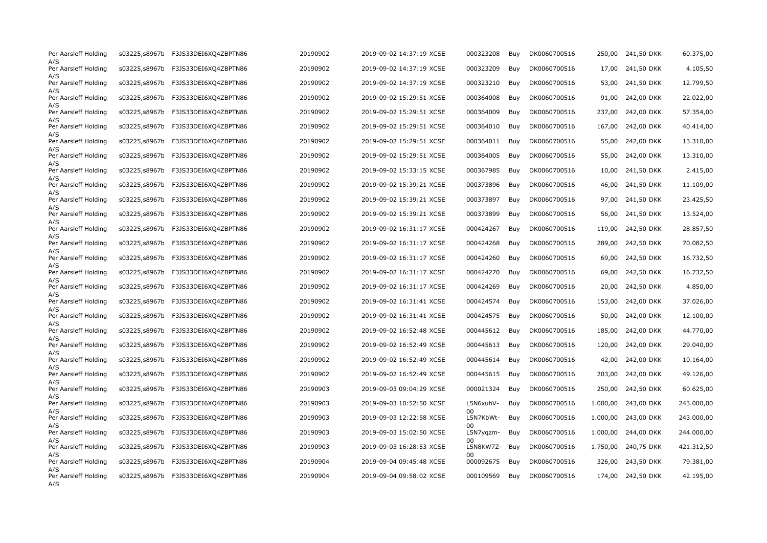| Per Aarsleff Holding<br>A/S        |               | s03225,s8967b F3JS33DEI6XQ4ZBPTN86 | 20190902 | 2019-09-02 14:37:19 XCSE | 000323208            | Buy | DK0060700516 |          | 250,00 241,50 DKK   | 60.375,00  |
|------------------------------------|---------------|------------------------------------|----------|--------------------------|----------------------|-----|--------------|----------|---------------------|------------|
| Per Aarsleff Holding               |               | s03225,s8967b F3JS33DEI6XQ4ZBPTN86 | 20190902 | 2019-09-02 14:37:19 XCSE | 000323209            | Buy | DK0060700516 |          | 17,00 241,50 DKK    | 4.105,50   |
| A/S<br>Per Aarsleff Holding        | s03225,s8967b | F3JS33DEI6XQ4ZBPTN86               | 20190902 | 2019-09-02 14:37:19 XCSE | 000323210            | Buy | DK0060700516 | 53,00    | 241,50 DKK          | 12.799,50  |
| A/S<br>Per Aarsleff Holding        |               | s03225,s8967b F3JS33DEI6XQ4ZBPTN86 | 20190902 | 2019-09-02 15:29:51 XCSE | 000364008            | Buy | DK0060700516 |          | 91,00 242,00 DKK    | 22.022,00  |
| A/S<br>Per Aarsleff Holding        | s03225,s8967b | F3JS33DEI6XQ4ZBPTN86               | 20190902 | 2019-09-02 15:29:51 XCSE | 000364009            | Buy | DK0060700516 | 237,00   | 242,00 DKK          | 57.354,00  |
| A/S<br>Per Aarsleff Holding        | s03225,s8967b | F3JS33DEI6XQ4ZBPTN86               | 20190902 | 2019-09-02 15:29:51 XCSE | 000364010            | Buy | DK0060700516 | 167,00   | 242,00 DKK          | 40.414,00  |
| A/S<br>Per Aarsleff Holding        | s03225,s8967b | F3JS33DEI6XQ4ZBPTN86               | 20190902 | 2019-09-02 15:29:51 XCSE | 000364011            | Buy | DK0060700516 | 55,00    | 242,00 DKK          | 13.310,00  |
| A/S<br>Per Aarsleff Holding        | s03225,s8967b | F3JS33DEI6XQ4ZBPTN86               | 20190902 | 2019-09-02 15:29:51 XCSE | 000364005            | Buy | DK0060700516 | 55,00    | 242,00 DKK          | 13.310,00  |
| A/S<br>Per Aarsleff Holding        | s03225,s8967b | F3JS33DEI6XQ4ZBPTN86               | 20190902 | 2019-09-02 15:33:15 XCSE | 000367985            | Buy | DK0060700516 | 10,00    | 241,50 DKK          | 2.415,00   |
| A/S<br>Per Aarsleff Holding        | s03225,s8967b | F3JS33DEI6XQ4ZBPTN86               | 20190902 | 2019-09-02 15:39:21 XCSE | 000373896            | Buy | DK0060700516 | 46,00    | 241,50 DKK          | 11.109,00  |
| A/S<br>Per Aarsleff Holding        | s03225,s8967b | F3JS33DEI6XQ4ZBPTN86               | 20190902 | 2019-09-02 15:39:21 XCSE | 000373897            | Buy | DK0060700516 | 97,00    | 241,50 DKK          | 23.425,50  |
| A/S<br>Per Aarsleff Holding        | s03225,s8967b | F3JS33DEI6XQ4ZBPTN86               | 20190902 | 2019-09-02 15:39:21 XCSE | 000373899            | Buy | DK0060700516 | 56,00    | 241,50 DKK          | 13.524,00  |
| A/S<br>Per Aarsleff Holding        | s03225,s8967b | F3JS33DEI6XQ4ZBPTN86               | 20190902 | 2019-09-02 16:31:17 XCSE | 000424267            | Buy | DK0060700516 | 119,00   | 242,50 DKK          | 28.857,50  |
| A/S<br>Per Aarsleff Holding        | s03225,s8967b | F3JS33DEI6XQ4ZBPTN86               | 20190902 | 2019-09-02 16:31:17 XCSE | 000424268            | Buy | DK0060700516 | 289,00   | 242,50 DKK          | 70.082,50  |
| A/S<br>Per Aarsleff Holding        | s03225,s8967b | F3JS33DEI6XQ4ZBPTN86               | 20190902 | 2019-09-02 16:31:17 XCSE | 000424260            | Buy | DK0060700516 | 69,00    | 242,50 DKK          | 16.732,50  |
| A/S<br>Per Aarsleff Holding        | s03225,s8967b | F3JS33DEI6XQ4ZBPTN86               | 20190902 | 2019-09-02 16:31:17 XCSE | 000424270            | Buy | DK0060700516 | 69,00    | 242,50 DKK          | 16.732,50  |
| A/S<br>Per Aarsleff Holding        | s03225,s8967b | F3JS33DEI6XQ4ZBPTN86               | 20190902 | 2019-09-02 16:31:17 XCSE | 000424269            | Buy | DK0060700516 | 20,00    | 242,50 DKK          | 4.850,00   |
| A/S<br>Per Aarsleff Holding        | s03225,s8967b | F3JS33DEI6XQ4ZBPTN86               | 20190902 | 2019-09-02 16:31:41 XCSE | 000424574            | Buy | DK0060700516 | 153,00   | 242,00 DKK          | 37.026,00  |
| A/S<br>Per Aarsleff Holding        | s03225,s8967b | F3JS33DEI6XQ4ZBPTN86               | 20190902 | 2019-09-02 16:31:41 XCSE | 000424575            | Buy | DK0060700516 | 50,00    | 242,00 DKK          | 12.100,00  |
| A/S<br>Per Aarsleff Holding        | s03225,s8967b | F3JS33DEI6XQ4ZBPTN86               | 20190902 | 2019-09-02 16:52:48 XCSE | 000445612            | Buy | DK0060700516 | 185,00   | 242,00 DKK          | 44.770,00  |
| A/S<br>Per Aarsleff Holding        | s03225,s8967b | F3JS33DEI6XQ4ZBPTN86               | 20190902 | 2019-09-02 16:52:49 XCSE | 000445613            | Buy | DK0060700516 | 120,00   | 242,00 DKK          | 29.040,00  |
| A/S<br>Per Aarsleff Holding        | s03225,s8967b | F3JS33DEI6XQ4ZBPTN86               | 20190902 | 2019-09-02 16:52:49 XCSE | 000445614            | Buy | DK0060700516 | 42,00    | 242,00 DKK          | 10.164,00  |
| A/S<br>Per Aarsleff Holding        |               | s03225,s8967b F3JS33DEI6XQ4ZBPTN86 | 20190902 | 2019-09-02 16:52:49 XCSE | 000445615            | Buy | DK0060700516 | 203,00   | 242,00 DKK          | 49.126,00  |
| A/S<br>Per Aarsleff Holding        | s03225,s8967b | F3JS33DEI6XQ4ZBPTN86               | 20190903 | 2019-09-03 09:04:29 XCSE | 000021324            | Buy | DK0060700516 | 250,00   | 242,50 DKK          | 60.625,00  |
| A/S<br>Per Aarsleff Holding        | s03225,s8967b | F3JS33DEI6XQ4ZBPTN86               | 20190903 | 2019-09-03 10:52:50 XCSE | L5N6xuhV-            | Buy | DK0060700516 | 1.000,00 | 243,00 DKK          | 243.000,00 |
| A/S<br>Per Aarsleff Holding        | s03225,s8967b | F3JS33DEI6XQ4ZBPTN86               | 20190903 | 2019-09-03 12:22:58 XCSE | L5N7KbWt-            | Buy | DK0060700516 | 1.000,00 | 243,00 DKK          | 243.000,00 |
| A/S<br>Per Aarsleff Holding        | s03225,s8967b | F3JS33DEI6XQ4ZBPTN86               | 20190903 | 2019-09-03 15:02:50 XCSE | $00 \,$<br>L5N7yqzm- | Buy | DK0060700516 |          | 1.000,00 244,00 DKK | 244.000,00 |
| A/S<br>Per Aarsleff Holding        | s03225,s8967b | F3JS33DEI6XQ4ZBPTN86               | 20190903 | 2019-09-03 16:28:53 XCSE | 00<br>L5N8KW7Z- Buy  |     | DK0060700516 | 1.750,00 | 240,75 DKK          | 421.312,50 |
| A/S<br>Per Aarsleff Holding        |               | s03225,s8967b F3JS33DEI6XQ4ZBPTN86 | 20190904 | 2019-09-04 09:45:48 XCSE | 000092675            | Buy | DK0060700516 |          | 326,00 243,50 DKK   | 79.381,00  |
| A/S<br>Per Aarsleff Holding<br>A/S |               | s03225,s8967b F3JS33DEI6XQ4ZBPTN86 | 20190904 | 2019-09-04 09:58:02 XCSE | 000109569            | Buy | DK0060700516 |          | 174,00 242,50 DKK   | 42.195,00  |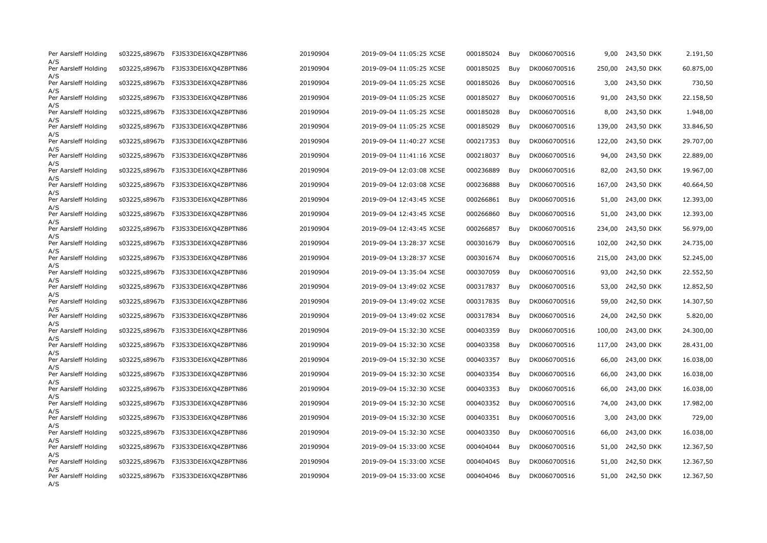| Per Aarsleff Holding<br>A/S        |               | s03225,s8967b F3JS33DEI6XQ4ZBPTN86 | 20190904 | 2019-09-04 11:05:25 XCSE | 000185024 | Buy | DK0060700516 | 9,00   | 243,50 DKK        | 2.191,50  |
|------------------------------------|---------------|------------------------------------|----------|--------------------------|-----------|-----|--------------|--------|-------------------|-----------|
| Per Aarsleff Holding               |               | s03225,s8967b F3JS33DEI6XQ4ZBPTN86 | 20190904 | 2019-09-04 11:05:25 XCSE | 000185025 | Buy | DK0060700516 |        | 250,00 243,50 DKK | 60.875,00 |
| A/S<br>Per Aarsleff Holding        | s03225,s8967b | F3JS33DEI6XQ4ZBPTN86               | 20190904 | 2019-09-04 11:05:25 XCSE | 000185026 | Buy | DK0060700516 | 3,00   | 243,50 DKK        | 730,50    |
| A/S<br>Per Aarsleff Holding        |               | s03225,s8967b F3JS33DEI6XQ4ZBPTN86 | 20190904 | 2019-09-04 11:05:25 XCSE | 000185027 | Buy | DK0060700516 |        | 91,00 243,50 DKK  | 22.158,50 |
| A/S<br>Per Aarsleff Holding        | s03225,s8967b | F3JS33DEI6XQ4ZBPTN86               | 20190904 | 2019-09-04 11:05:25 XCSE | 000185028 | Buy | DK0060700516 | 8,00   | 243,50 DKK        | 1.948,00  |
| A/S<br>Per Aarsleff Holding        |               | s03225,s8967b F3JS33DEI6XQ4ZBPTN86 | 20190904 | 2019-09-04 11:05:25 XCSE | 000185029 | Buy | DK0060700516 | 139,00 | 243,50 DKK        | 33.846,50 |
| A/S<br>Per Aarsleff Holding        | s03225,s8967b | F3JS33DEI6XQ4ZBPTN86               | 20190904 | 2019-09-04 11:40:27 XCSE | 000217353 | Buy | DK0060700516 | 122,00 | 243,50 DKK        | 29.707,00 |
| A/S<br>Per Aarsleff Holding        | s03225,s8967b | F3JS33DEI6XQ4ZBPTN86               | 20190904 | 2019-09-04 11:41:16 XCSE | 000218037 | Buy | DK0060700516 |        | 94,00 243,50 DKK  | 22.889,00 |
| A/S<br>Per Aarsleff Holding        |               | s03225,s8967b F3JS33DEI6XQ4ZBPTN86 | 20190904 | 2019-09-04 12:03:08 XCSE | 000236889 | Buy | DK0060700516 | 82,00  | 243,50 DKK        | 19.967,00 |
| A/S<br>Per Aarsleff Holding        | s03225,s8967b | F3JS33DEI6XQ4ZBPTN86               | 20190904 | 2019-09-04 12:03:08 XCSE | 000236888 | Buy | DK0060700516 | 167,00 | 243,50 DKK        | 40.664,50 |
| A/S<br>Per Aarsleff Holding        | s03225,s8967b | F3JS33DEI6XQ4ZBPTN86               | 20190904 | 2019-09-04 12:43:45 XCSE | 000266861 | Buy | DK0060700516 | 51,00  | 243,00 DKK        | 12.393,00 |
| A/S<br>Per Aarsleff Holding        | s03225,s8967b | F3JS33DEI6XQ4ZBPTN86               | 20190904 | 2019-09-04 12:43:45 XCSE | 000266860 | Buy | DK0060700516 | 51,00  | 243,00 DKK        | 12.393,00 |
| A/S<br>Per Aarsleff Holding        | s03225,s8967b | F3JS33DEI6XQ4ZBPTN86               | 20190904 | 2019-09-04 12:43:45 XCSE | 000266857 | Buy | DK0060700516 | 234,00 | 243,50 DKK        | 56.979,00 |
| A/S<br>Per Aarsleff Holding        | s03225,s8967b | F3JS33DEI6XQ4ZBPTN86               | 20190904 | 2019-09-04 13:28:37 XCSE | 000301679 | Buy | DK0060700516 | 102,00 | 242,50 DKK        | 24.735,00 |
| A/S<br>Per Aarsleff Holding        | s03225,s8967b | F3JS33DEI6XQ4ZBPTN86               | 20190904 | 2019-09-04 13:28:37 XCSE | 000301674 | Buy | DK0060700516 | 215,00 | 243,00 DKK        | 52.245,00 |
| A/S<br>Per Aarsleff Holding        | s03225,s8967b | F3JS33DEI6XQ4ZBPTN86               | 20190904 | 2019-09-04 13:35:04 XCSE | 000307059 | Buy | DK0060700516 | 93,00  | 242,50 DKK        | 22.552,50 |
| A/S<br>Per Aarsleff Holding        | s03225,s8967b | F3JS33DEI6XQ4ZBPTN86               | 20190904 | 2019-09-04 13:49:02 XCSE | 000317837 | Buy | DK0060700516 | 53,00  | 242,50 DKK        | 12.852,50 |
| A/S<br>Per Aarsleff Holding        | s03225,s8967b | F3JS33DEI6XQ4ZBPTN86               | 20190904 | 2019-09-04 13:49:02 XCSE | 000317835 | Buy | DK0060700516 | 59,00  | 242,50 DKK        | 14.307,50 |
| A/S<br>Per Aarsleff Holding        | s03225,s8967b | F3JS33DEI6XQ4ZBPTN86               | 20190904 | 2019-09-04 13:49:02 XCSE | 000317834 | Buy | DK0060700516 | 24,00  | 242,50 DKK        | 5.820,00  |
| A/S<br>Per Aarsleff Holding        | s03225,s8967b | F3JS33DEI6XQ4ZBPTN86               | 20190904 | 2019-09-04 15:32:30 XCSE | 000403359 | Buy | DK0060700516 | 100,00 | 243,00 DKK        | 24.300,00 |
| A/S<br>Per Aarsleff Holding        | s03225,s8967b | F3JS33DEI6XQ4ZBPTN86               | 20190904 | 2019-09-04 15:32:30 XCSE | 000403358 | Buy | DK0060700516 | 117,00 | 243,00 DKK        | 28.431,00 |
| A/S<br>Per Aarsleff Holding        | s03225,s8967b | F3JS33DEI6XQ4ZBPTN86               | 20190904 | 2019-09-04 15:32:30 XCSE | 000403357 | Buy | DK0060700516 | 66,00  | 243,00 DKK        | 16.038,00 |
| A/S<br>Per Aarsleff Holding        | s03225,s8967b | F3JS33DEI6XQ4ZBPTN86               | 20190904 | 2019-09-04 15:32:30 XCSE | 000403354 | Buy | DK0060700516 | 66,00  | 243,00 DKK        | 16.038,00 |
| A/S<br>Per Aarsleff Holding        | s03225,s8967b | F3JS33DEI6XQ4ZBPTN86               | 20190904 | 2019-09-04 15:32:30 XCSE | 000403353 | Buy | DK0060700516 | 66,00  | 243,00 DKK        | 16.038,00 |
| A/S<br>Per Aarsleff Holding        | s03225,s8967b | F3JS33DEI6XQ4ZBPTN86               | 20190904 | 2019-09-04 15:32:30 XCSE | 000403352 | Buy | DK0060700516 | 74,00  | 243,00 DKK        | 17.982,00 |
| A/S<br>Per Aarsleff Holding        | s03225,s8967b | F3JS33DEI6XQ4ZBPTN86               | 20190904 | 2019-09-04 15:32:30 XCSE | 000403351 | Buy | DK0060700516 | 3,00   | 243,00 DKK        | 729,00    |
| A/S<br>Per Aarsleff Holding        |               | s03225,s8967b F3JS33DEI6XQ4ZBPTN86 | 20190904 | 2019-09-04 15:32:30 XCSE | 000403350 | Buy | DK0060700516 | 66,00  | 243,00 DKK        | 16.038,00 |
| A/S<br>Per Aarsleff Holding        | s03225,s8967b | F3JS33DEI6XQ4ZBPTN86               | 20190904 | 2019-09-04 15:33:00 XCSE | 000404044 | Buy | DK0060700516 | 51,00  | 242,50 DKK        | 12.367,50 |
| A/S<br>Per Aarsleff Holding        |               | s03225,s8967b F3JS33DEI6XQ4ZBPTN86 | 20190904 | 2019-09-04 15:33:00 XCSE | 000404045 | Buy | DK0060700516 |        | 51,00 242,50 DKK  | 12.367,50 |
| A/S<br>Per Aarsleff Holding<br>A/S |               | s03225,s8967b F3JS33DEI6XQ4ZBPTN86 | 20190904 | 2019-09-04 15:33:00 XCSE | 000404046 | Buy | DK0060700516 |        | 51,00 242,50 DKK  | 12.367,50 |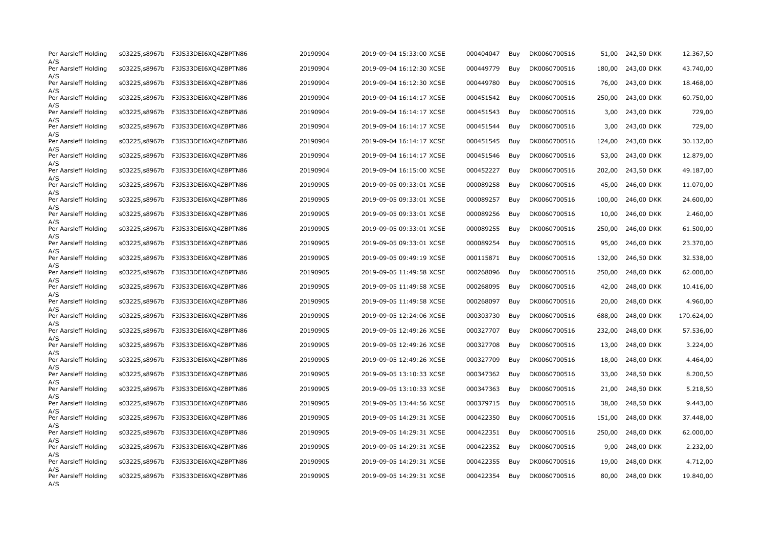| Per Aarsleff Holding               | s03225,s8967b | F3JS33DEI6XQ4ZBPTN86               | 20190904 | 2019-09-04 15:33:00 XCSE | 000404047 | Buy | DK0060700516 | 51,00  | 242,50 DKK       | 12.367,50  |
|------------------------------------|---------------|------------------------------------|----------|--------------------------|-----------|-----|--------------|--------|------------------|------------|
| A/S<br>Per Aarsleff Holding        |               | s03225,s8967b F3JS33DEI6XQ4ZBPTN86 | 20190904 | 2019-09-04 16:12:30 XCSE | 000449779 | Buy | DK0060700516 | 180,00 | 243,00 DKK       | 43.740,00  |
| A/S<br>Per Aarsleff Holding        | s03225,s8967b | F3JS33DEI6XQ4ZBPTN86               | 20190904 | 2019-09-04 16:12:30 XCSE | 000449780 | Buy | DK0060700516 | 76,00  | 243,00 DKK       | 18.468,00  |
| A/S<br>Per Aarsleff Holding        | s03225,s8967b | F3JS33DEI6XQ4ZBPTN86               | 20190904 | 2019-09-04 16:14:17 XCSE | 000451542 | Buy | DK0060700516 | 250,00 | 243,00 DKK       | 60.750,00  |
| A/S<br>Per Aarsleff Holding        | s03225,s8967b | F3JS33DEI6XQ4ZBPTN86               | 20190904 | 2019-09-04 16:14:17 XCSE | 000451543 | Buy | DK0060700516 | 3,00   | 243,00 DKK       | 729,00     |
| A/S<br>Per Aarsleff Holding        |               | s03225,s8967b F3JS33DEI6XQ4ZBPTN86 | 20190904 | 2019-09-04 16:14:17 XCSE | 000451544 | Buy | DK0060700516 | 3,00   | 243,00 DKK       | 729,00     |
| A/S<br>Per Aarsleff Holding        | s03225,s8967b | F3JS33DEI6XQ4ZBPTN86               | 20190904 | 2019-09-04 16:14:17 XCSE | 000451545 | Buy | DK0060700516 | 124,00 | 243,00 DKK       | 30.132,00  |
| A/S<br>Per Aarsleff Holding        | s03225,s8967b | F3JS33DEI6XQ4ZBPTN86               | 20190904 | 2019-09-04 16:14:17 XCSE | 000451546 | Buy | DK0060700516 | 53,00  | 243,00 DKK       | 12.879,00  |
| A/S<br>Per Aarsleff Holding        | s03225,s8967b | F3JS33DEI6XQ4ZBPTN86               | 20190904 | 2019-09-04 16:15:00 XCSE | 000452227 | Buy | DK0060700516 | 202,00 | 243,50 DKK       | 49.187,00  |
| A/S<br>Per Aarsleff Holding        | s03225,s8967b | F3JS33DEI6XQ4ZBPTN86               | 20190905 | 2019-09-05 09:33:01 XCSE | 000089258 | Buy | DK0060700516 | 45,00  | 246,00 DKK       | 11.070,00  |
| A/S<br>Per Aarsleff Holding        | s03225,s8967b | F3JS33DEI6XQ4ZBPTN86               | 20190905 | 2019-09-05 09:33:01 XCSE | 000089257 | Buy | DK0060700516 | 100,00 | 246,00 DKK       | 24.600,00  |
| A/S<br>Per Aarsleff Holding        | s03225,s8967b | F3JS33DEI6XQ4ZBPTN86               | 20190905 | 2019-09-05 09:33:01 XCSE | 000089256 | Buy | DK0060700516 | 10,00  | 246,00 DKK       | 2.460,00   |
| A/S<br>Per Aarsleff Holding        | s03225,s8967b | F3JS33DEI6XQ4ZBPTN86               | 20190905 | 2019-09-05 09:33:01 XCSE | 000089255 | Buy | DK0060700516 | 250,00 | 246,00 DKK       | 61.500,00  |
| A/S<br>Per Aarsleff Holding        | s03225,s8967b | F3JS33DEI6XQ4ZBPTN86               | 20190905 | 2019-09-05 09:33:01 XCSE | 000089254 | Buy | DK0060700516 | 95,00  | 246,00 DKK       | 23.370,00  |
| A/S<br>Per Aarsleff Holding        | s03225,s8967b | F3JS33DEI6XQ4ZBPTN86               | 20190905 | 2019-09-05 09:49:19 XCSE | 000115871 | Buy | DK0060700516 | 132,00 | 246,50 DKK       | 32.538,00  |
| A/S<br>Per Aarsleff Holding        | s03225,s8967b | F3JS33DEI6XQ4ZBPTN86               | 20190905 | 2019-09-05 11:49:58 XCSE | 000268096 | Buy | DK0060700516 | 250,00 | 248,00 DKK       | 62.000,00  |
| A/S<br>Per Aarsleff Holding        | s03225,s8967b | F3JS33DEI6XQ4ZBPTN86               | 20190905 | 2019-09-05 11:49:58 XCSE | 000268095 | Buy | DK0060700516 | 42,00  | 248,00 DKK       | 10.416,00  |
| A/S<br>Per Aarsleff Holding        | s03225,s8967b | F3JS33DEI6XQ4ZBPTN86               | 20190905 | 2019-09-05 11:49:58 XCSE | 000268097 | Buy | DK0060700516 | 20,00  | 248,00 DKK       | 4.960,00   |
| A/S<br>Per Aarsleff Holding        | s03225,s8967b | F3JS33DEI6XQ4ZBPTN86               | 20190905 | 2019-09-05 12:24:06 XCSE | 000303730 | Buy | DK0060700516 | 688,00 | 248,00 DKK       | 170.624,00 |
| A/S<br>Per Aarsleff Holding        | s03225,s8967b | F3JS33DEI6XQ4ZBPTN86               | 20190905 | 2019-09-05 12:49:26 XCSE | 000327707 | Buy | DK0060700516 | 232,00 | 248,00 DKK       | 57.536,00  |
| A/S<br>Per Aarsleff Holding        | s03225,s8967b | F3JS33DEI6XQ4ZBPTN86               | 20190905 | 2019-09-05 12:49:26 XCSE | 000327708 | Buy | DK0060700516 | 13,00  | 248,00 DKK       | 3.224,00   |
| A/S<br>Per Aarsleff Holding        | s03225,s8967b | F3JS33DEI6XQ4ZBPTN86               | 20190905 | 2019-09-05 12:49:26 XCSE | 000327709 | Buy | DK0060700516 | 18,00  | 248,00 DKK       | 4.464,00   |
| A/S<br>Per Aarsleff Holding        | s03225,s8967b | F3JS33DEI6XQ4ZBPTN86               | 20190905 | 2019-09-05 13:10:33 XCSE | 000347362 | Buy | DK0060700516 | 33,00  | 248,50 DKK       | 8.200,50   |
| A/S<br>Per Aarsleff Holding        | s03225,s8967b | F3JS33DEI6XQ4ZBPTN86               | 20190905 | 2019-09-05 13:10:33 XCSE | 000347363 | Buy | DK0060700516 | 21,00  | 248,50 DKK       | 5.218,50   |
| A/S<br>Per Aarsleff Holding        | s03225,s8967b | F3JS33DEI6XQ4ZBPTN86               | 20190905 | 2019-09-05 13:44:56 XCSE | 000379715 | Buy | DK0060700516 | 38,00  | 248,50 DKK       | 9.443,00   |
| A/S<br>Per Aarsleff Holding        | s03225,s8967b | F3JS33DEI6XQ4ZBPTN86               | 20190905 | 2019-09-05 14:29:31 XCSE | 000422350 | Buy | DK0060700516 | 151,00 | 248,00 DKK       | 37.448,00  |
| A/S<br>Per Aarsleff Holding        | s03225,s8967b | F3JS33DEI6XQ4ZBPTN86               | 20190905 | 2019-09-05 14:29:31 XCSE | 000422351 | Buy | DK0060700516 | 250,00 | 248,00 DKK       | 62.000,00  |
| A/S<br>Per Aarsleff Holding        | s03225,s8967b | F3JS33DEI6XQ4ZBPTN86               | 20190905 | 2019-09-05 14:29:31 XCSE | 000422352 | Buy | DK0060700516 | 9,00   | 248,00 DKK       | 2.232,00   |
| A/S<br>Per Aarsleff Holding        |               | s03225,s8967b F3JS33DEI6XQ4ZBPTN86 | 20190905 | 2019-09-05 14:29:31 XCSE | 000422355 | Buy | DK0060700516 |        | 19,00 248,00 DKK | 4.712,00   |
| A/S<br>Per Aarsleff Holding<br>A/S |               | s03225,s8967b F3JS33DEI6XQ4ZBPTN86 | 20190905 | 2019-09-05 14:29:31 XCSE | 000422354 | Buy | DK0060700516 |        | 80,00 248,00 DKK | 19.840,00  |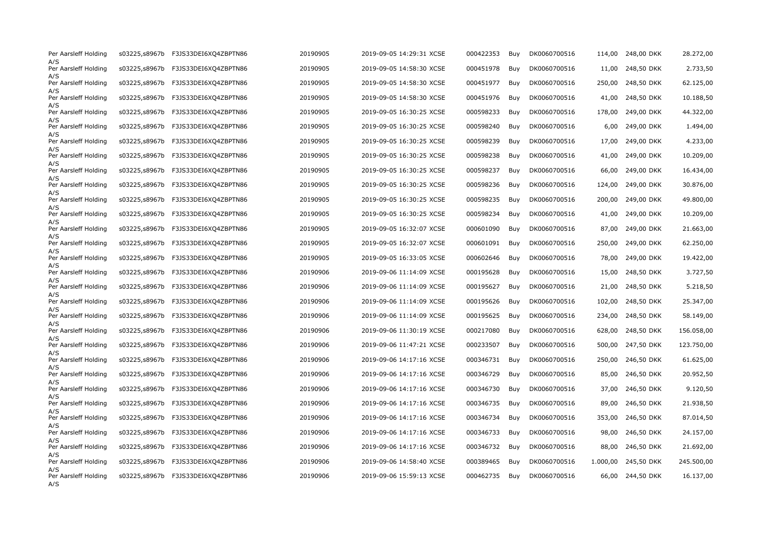| Per Aarsleff Holding               | s03225,s8967b | F3JS33DEI6XQ4ZBPTN86               | 20190905 | 2019-09-05 14:29:31 XCSE | 000422353 | Buy | DK0060700516 | 114,00   | 248,00 DKK       | 28.272,00  |
|------------------------------------|---------------|------------------------------------|----------|--------------------------|-----------|-----|--------------|----------|------------------|------------|
| A/S<br>Per Aarsleff Holding        |               | s03225,s8967b F3JS33DEI6XQ4ZBPTN86 | 20190905 | 2019-09-05 14:58:30 XCSE | 000451978 | Buy | DK0060700516 |          | 11,00 248,50 DKK | 2.733,50   |
| A/S<br>Per Aarsleff Holding        | s03225,s8967b | F3JS33DEI6XQ4ZBPTN86               | 20190905 | 2019-09-05 14:58:30 XCSE | 000451977 | Buy | DK0060700516 | 250,00   | 248,50 DKK       | 62.125,00  |
| A/S<br>Per Aarsleff Holding        | s03225,s8967b | F3JS33DEI6XQ4ZBPTN86               | 20190905 | 2019-09-05 14:58:30 XCSE | 000451976 | Buy | DK0060700516 | 41,00    | 248,50 DKK       | 10.188,50  |
| A/S<br>Per Aarsleff Holding        | s03225,s8967b | F3JS33DEI6XQ4ZBPTN86               | 20190905 | 2019-09-05 16:30:25 XCSE | 000598233 | Buy | DK0060700516 | 178,00   | 249,00 DKK       | 44.322,00  |
| A/S<br>Per Aarsleff Holding        |               | s03225,s8967b F3JS33DEI6XQ4ZBPTN86 | 20190905 | 2019-09-05 16:30:25 XCSE | 000598240 | Buy | DK0060700516 | 6,00     | 249,00 DKK       | 1.494,00   |
| A/S<br>Per Aarsleff Holding        | s03225,s8967b | F3JS33DEI6XQ4ZBPTN86               | 20190905 | 2019-09-05 16:30:25 XCSE | 000598239 | Buy | DK0060700516 | 17,00    | 249,00 DKK       | 4.233,00   |
| A/S<br>Per Aarsleff Holding        | s03225,s8967b | F3JS33DEI6XQ4ZBPTN86               | 20190905 | 2019-09-05 16:30:25 XCSE | 000598238 | Buy | DK0060700516 | 41,00    | 249,00 DKK       | 10.209,00  |
| A/S<br>Per Aarsleff Holding        | s03225,s8967b | F3JS33DEI6XQ4ZBPTN86               | 20190905 | 2019-09-05 16:30:25 XCSE | 000598237 | Buy | DK0060700516 | 66,00    | 249,00 DKK       | 16.434,00  |
| A/S<br>Per Aarsleff Holding        | s03225,s8967b | F3JS33DEI6XQ4ZBPTN86               | 20190905 | 2019-09-05 16:30:25 XCSE | 000598236 | Buy | DK0060700516 | 124,00   | 249,00 DKK       | 30.876,00  |
| A/S<br>Per Aarsleff Holding        | s03225,s8967b | F3JS33DEI6XQ4ZBPTN86               | 20190905 | 2019-09-05 16:30:25 XCSE | 000598235 | Buy | DK0060700516 | 200,00   | 249,00 DKK       | 49.800,00  |
| A/S<br>Per Aarsleff Holding        | s03225,s8967b | F3JS33DEI6XQ4ZBPTN86               | 20190905 | 2019-09-05 16:30:25 XCSE | 000598234 | Buy | DK0060700516 | 41,00    | 249,00 DKK       | 10.209,00  |
| A/S<br>Per Aarsleff Holding        | s03225,s8967b | F3JS33DEI6XQ4ZBPTN86               | 20190905 | 2019-09-05 16:32:07 XCSE | 000601090 | Buy | DK0060700516 | 87,00    | 249,00 DKK       | 21.663,00  |
| A/S<br>Per Aarsleff Holding        | s03225,s8967b | F3JS33DEI6XQ4ZBPTN86               | 20190905 | 2019-09-05 16:32:07 XCSE | 000601091 | Buy | DK0060700516 | 250,00   | 249,00 DKK       | 62.250,00  |
| A/S<br>Per Aarsleff Holding        | s03225,s8967b | F3JS33DEI6XQ4ZBPTN86               | 20190905 | 2019-09-05 16:33:05 XCSE | 000602646 | Buy | DK0060700516 | 78,00    | 249,00 DKK       | 19.422,00  |
| A/S<br>Per Aarsleff Holding        | s03225,s8967b | F3JS33DEI6XQ4ZBPTN86               | 20190906 | 2019-09-06 11:14:09 XCSE | 000195628 | Buy | DK0060700516 | 15,00    | 248,50 DKK       | 3.727,50   |
| A/S<br>Per Aarsleff Holding        | s03225,s8967b | F3JS33DEI6XQ4ZBPTN86               | 20190906 | 2019-09-06 11:14:09 XCSE | 000195627 | Buy | DK0060700516 | 21,00    | 248,50 DKK       | 5.218,50   |
| A/S<br>Per Aarsleff Holding        | s03225,s8967b | F3JS33DEI6XQ4ZBPTN86               | 20190906 | 2019-09-06 11:14:09 XCSE | 000195626 | Buy | DK0060700516 | 102,00   | 248,50 DKK       | 25.347,00  |
| A/S<br>Per Aarsleff Holding        | s03225,s8967b | F3JS33DEI6XQ4ZBPTN86               | 20190906 | 2019-09-06 11:14:09 XCSE | 000195625 | Buy | DK0060700516 | 234,00   | 248,50 DKK       | 58.149,00  |
| A/S<br>Per Aarsleff Holding        | s03225,s8967b | F3JS33DEI6XQ4ZBPTN86               | 20190906 | 2019-09-06 11:30:19 XCSE | 000217080 | Buy | DK0060700516 | 628,00   | 248,50 DKK       | 156.058,00 |
| A/S<br>Per Aarsleff Holding        | s03225,s8967b | F3JS33DEI6XQ4ZBPTN86               | 20190906 | 2019-09-06 11:47:21 XCSE | 000233507 | Buy | DK0060700516 | 500,00   | 247,50 DKK       | 123.750,00 |
| A/S<br>Per Aarsleff Holding        | s03225,s8967b | F3JS33DEI6XQ4ZBPTN86               | 20190906 | 2019-09-06 14:17:16 XCSE | 000346731 | Buy | DK0060700516 | 250,00   | 246,50 DKK       | 61.625,00  |
| A/S<br>Per Aarsleff Holding        |               | s03225,s8967b F3JS33DEI6XQ4ZBPTN86 | 20190906 | 2019-09-06 14:17:16 XCSE | 000346729 | Buy | DK0060700516 | 85,00    | 246,50 DKK       | 20.952,50  |
| A/S<br>Per Aarsleff Holding        | s03225,s8967b | F3JS33DEI6XQ4ZBPTN86               | 20190906 | 2019-09-06 14:17:16 XCSE | 000346730 | Buy | DK0060700516 | 37,00    | 246,50 DKK       | 9.120,50   |
| A/S<br>Per Aarsleff Holding        |               | s03225,s8967b F3JS33DEI6XQ4ZBPTN86 | 20190906 | 2019-09-06 14:17:16 XCSE | 000346735 | Buy | DK0060700516 | 89,00    | 246,50 DKK       | 21.938,50  |
| A/S<br>Per Aarsleff Holding        | s03225,s8967b | F3JS33DEI6XQ4ZBPTN86               | 20190906 | 2019-09-06 14:17:16 XCSE | 000346734 | Buy | DK0060700516 | 353,00   | 246,50 DKK       | 87.014,50  |
| A/S<br>Per Aarsleff Holding        |               | s03225,s8967b F3JS33DEI6XQ4ZBPTN86 | 20190906 | 2019-09-06 14:17:16 XCSE | 000346733 | Buy | DK0060700516 |          | 98,00 246,50 DKK | 24.157,00  |
| A/S<br>Per Aarsleff Holding        | s03225,s8967b | F3JS33DEI6XQ4ZBPTN86               | 20190906 | 2019-09-06 14:17:16 XCSE | 000346732 | Buy | DK0060700516 | 88,00    | 246,50 DKK       | 21.692,00  |
| A/S<br>Per Aarsleff Holding        |               | s03225,s8967b F3JS33DEI6XQ4ZBPTN86 | 20190906 | 2019-09-06 14:58:40 XCSE | 000389465 | Buy | DK0060700516 | 1.000,00 | 245,50 DKK       | 245.500,00 |
| A/S<br>Per Aarsleff Holding<br>A/S |               | s03225,s8967b F3JS33DEI6XQ4ZBPTN86 | 20190906 | 2019-09-06 15:59:13 XCSE | 000462735 | Buy | DK0060700516 |          | 66,00 244,50 DKK | 16.137,00  |